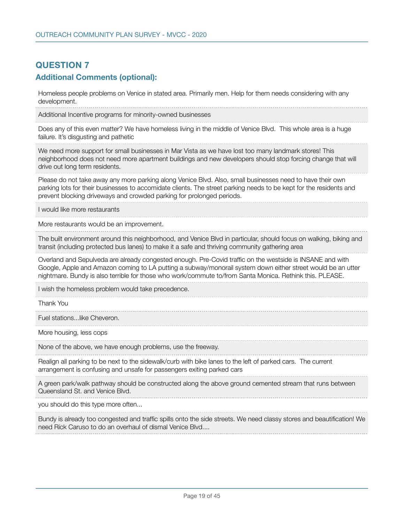## **QUESTION 7 Additional Comments (optional):**

Homeless people problems on Venice in stated area. Primarily men. Help for them needs considering with any development.

Additional Incentive programs for minority-owned businesses

Does any of this even matter? We have homeless living in the middle of Venice Blvd. This whole area is a huge failure. It's disgusting and pathetic

We need more support for small businesses in Mar Vista as we have lost too many landmark stores! This neighborhood does not need more apartment buildings and new developers should stop forcing change that will drive out long term residents.

Please do not take away any more parking along Venice Blvd. Also, small businesses need to have their own parking lots for their businesses to accomidate clients. The street parking needs to be kept for the residents and prevent blocking driveways and crowded parking for prolonged periods.

I would like more restaurants

More restaurants would be an improvement.

The built environment around this neighborhood, and Venice Blvd in particular, should focus on walking, biking and transit (including protected bus lanes) to make it a safe and thriving community gathering area

Overland and Sepulveda are already congested enough. Pre-Covid traffic on the westside is INSANE and with Google, Apple and Amazon coming to LA putting a subway/monorail system down either street would be an utter nightmare. Bundy is also terrible for those who work/commute to/from Santa Monica. Rethink this. PLEASE.

I wish the homeless problem would take precedence.

Thank You

Fuel stations...like Cheveron.

More housing, less cops

None of the above, we have enough problems, use the freeway.

Realign all parking to be next to the sidewalk/curb with bike lanes to the left of parked cars. The current arrangement is confusing and unsafe for passengers exiting parked cars

A green park/walk pathway should be constructed along the above ground cemented stream that runs between Queensland St. and Venice Blvd.

you should do this type more often...

Bundy is already too congested and traffic spills onto the side streets. We need classy stores and beautification! We need Rick Caruso to do an overhaul of dismal Venice Blvd....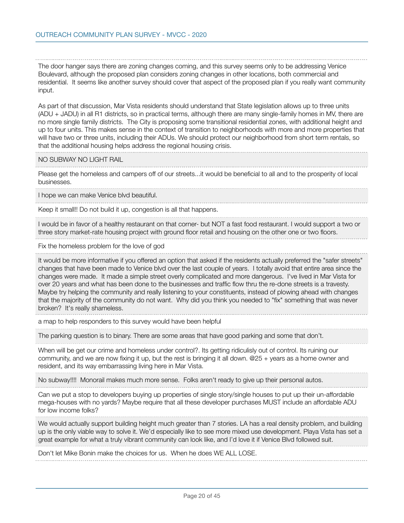The door hanger says there are zoning changes coming, and this survey seems only to be addressing Venice Boulevard, although the proposed plan considers zoning changes in other locations, both commercial and residential. It seems like another survey should cover that aspect of the proposed plan if you really want community input.

As part of that discussion, Mar Vista residents should understand that State legislation allows up to three units (ADU + JADU) in all R1 districts, so in practical terms, although there are many single-family homes in MV, there are no more single family districts. The City is proposing some transitional residential zones, with additional height and up to four units. This makes sense in the context of transition to neighborhoods with more and more properties that will have two or three units, including their ADUs. We should protect our neighborhood from short term rentals, so that the additional housing helps address the regional housing crisis.

NO SUBWAY NO LIGHT RAIL

Please get the homeless and campers off of our streets...it would be beneficial to all and to the prosperity of local businesses.

I hope we can make Venice blvd beautiful.

Keep it small!! Do not build it up, congestion is all that happens.

I would be in favor of a healthy restaurant on that corner- but NOT a fast food restaurant. I would support a two or three story market-rate housing project with ground floor retail and housing on the other one or two floors.

Fix the homeless problem for the love of god

It would be more informative if you offered an option that asked if the residents actually preferred the "safer streets" changes that have been made to Venice blvd over the last couple of years. I totally avoid that entire area since the changes were made. It made a simple street overly complicated and more dangerous. I've lived in Mar Vista for over 20 years and what has been done to the businesses and traffic flow thru the re-done streets is a travesty. Maybe try helping the community and really listening to your constituents, instead of plowing ahead with changes that the majority of the community do not want. Why did you think you needed to "fix" something that was never broken? It's really shameless.

a map to help responders to this survey would have been helpful

The parking question is to binary. There are some areas that have good parking and some that don't.

When will be get our crime and homeless under control?. Its getting ridiculisly out of control. Its ruining our community, and we are now fixing it up, but the rest is bringing it all down. @25 + years as a home owner and resident, and its way embarrassing living here in Mar Vista.

No subway!!!! Monorail makes much more sense. Folks aren't ready to give up their personal autos.

Can we put a stop to developers buying up properties of single story/single houses to put up their un-affordable mega-houses with no yards? Maybe require that all these developer purchases MUST include an affordable ADU for low income folks?

We would actually support building height much greater than 7 stories. LA has a real density problem, and building up is the only viable way to solve it. We'd especially like to see more mixed use development. Playa Vista has set a great example for what a truly vibrant community can look like, and I'd love it if Venice Blvd followed suit.

Don't let Mike Bonin make the choices for us. When he does WE ALL LOSE.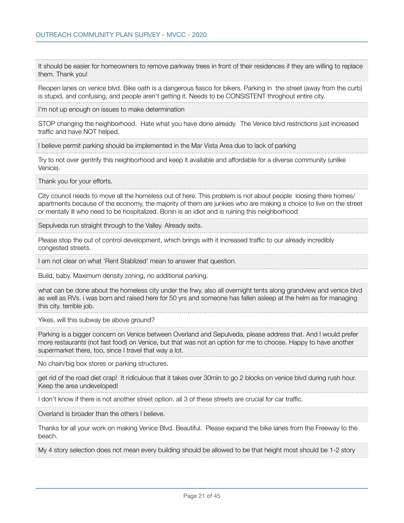It should be easier for homeowners to remove parkway trees in front of their residences if they are willing to replace them. Thank you! Reopen lanes on venice blvd. Bike oath is a dangerous fiasco for bikers. Parking in the street (away from the curb) is stupid, and confusing, and people aren't getting it. Needs to be CONSISTENT throghout entire city. I'm not up enough on issues to make determination STOP changing the neighborhood. Hate what you have done already. The Venice blvd restrictions just increased traffic and have NOT helped. I believe permit parking should be implemented in the Mar Vista Area due to lack of parking Try to not over gentrify this neighborhood and keep it available and affordable for a diverse community (unlike Venice). Thank you for your efforts. City council needs to move all the homeless out of here. This problem is not about people loosing there homes/ apartments because of the economy, the majority of them are junkies who are making a choice to live on the street or mentally ill who need to be hospitalized. Bonin is an idiot and is ruining this neighborhood Sepulveda run straight through to the Valley. Already exits. Please stop the out of control development, which brings with it increased traffic to our already incredibly congested streets. I am not clear on what 'Rent Stablized' mean to answer that question. Build, baby. Maximum density zoning, no additional parking. what can be done about the homeless city under the frwy. also all overnight tents along grandview and venice blvd as well as RVs. i was born and raised here for 50 yrs and someone has fallen asleep at the helm as for managing this city. terrible job. Yikes, will this subway be above ground? Parking is a bigger concern on Venice between Overland and Sepulveda, please address that. And I would prefer more restaurants (not fast food) on Venice, but that was not an option for me to choose. Happy to have another supermarket there, too, since I travel that way a lot. No chain/big box stores or parking structures. get rid of the road diet crap! It ridiculous that it takes over 30min to go 2 blocks on venice blvd during rush hour. Keep the area undeveloped! I don't know if there is not another street option. all 3 of these streets are crucial for car traffic. Overland is broader than the others I believe. Thanks for all your work on making Venice Blvd. Beautiful. Please expand the bike lanes from the Freeway to the beach. My 4 story selection does not mean every building should be allowed to be that height most should be 1-2 story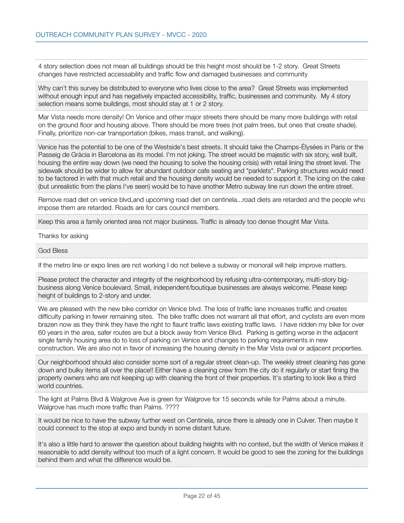4 story selection does not mean all buildings should be this height most should be 1-2 story. Great Streets changes have restricted accessability and traffic flow and damaged businesses and community

Why can't this survey be distributed to everyone who lives close to the area? Great Streets was implemented without enough input and has negatively impacted accessibility, traffic, businesses and community. My 4 story selection means some buildings, most should stay at 1 or 2 story.

Mar Vista needs more density! On Venice and other major streets there should be many more buildings with retail on the ground floor and housing above. There should be more trees (not palm trees, but ones that create shade). Finally, prioritize non-car transportation (bikes, mass transit, and walking).

Venice has the potential to be one of the Westside's best streets. It should take the Champs-Élysées in Paris or the Passeig de Gràcia in Barcelona as its model. I'm not joking. The street would be majestic with six story, well built, housing the entire way down (we need the housing to solve the housing crisis) with retail lining the street level. The sidewalk should be wider to allow for abundant outdoor cafe seating and "parklets". Parking structures would need to be factored in with that much retail and the housing density would be needed to support it. The icing on the cake (but unrealistic from the plans I've seen) would be to have another Metro subway line run down the entire street.

Remove road diet on venice blvd,and upcoming road diet on centinela...road diets are retarded and the people who impose them are retarded. Roads are for cars council members.

Keep this area a family oriented area not major business. Traffic is already too dense thought Mar Vista.

Thanks for asking

## God Bless

If the metro line or expo lines are not working I do not believe a subway or monorail will help improve matters.

Please protect the character and integrity of the neighborhood by refusing ultra-contemporary, multi-story bigbusiness along Venice boulevard. Small, independent/boutique businesses are always welcome. Please keep height of buildings to 2-story and under.

We are pleased with the new bike corridor on Venice blvd. The loss of traffic lane increases traffic and creates difficulty parking in fewer remaining sites. The bike traffic does not warrant all that effort, and cyclists are even more brazen now as they think they have the right to flaunt traffic laws existing traffic laws. I have ridden my bike for over 60 years in the area, safer routes are but a block away from Venice Blvd. Parking is getting worse in the adjacent single family housing area do to loss of parking on Venice and changes to parking requirements in new construction. We are also not in favor of increasing the housing density in the Mar Vista oval or adjacent properties.

Our neighborhood should also consider some sort of a regular street clean-up. The weekly street cleaning has gone down and bulky items all over the place!! Either have a cleaning crew from the city do it regularly or start fining the property owners who are not keeping up with cleaning the front of their properties. It's starting to look like a third world countries.

The light at Palms Blvd & Walgrove Ave is green for Walgrove for 15 seconds while for Palms about a minute. Walgrove has much more traffic than Palms. ????

It would be nice to have the subway further west on Centinela, since there is already one in Culver. Then maybe it could connect to the stop at expo and bundy in some distant future.

It's also a little hard to answer the question about building heights with no context, but the width of Venice makes it reasonable to add density without too much of a light concern. It would be good to see the zoning for the buildings behind them and what the difference would be.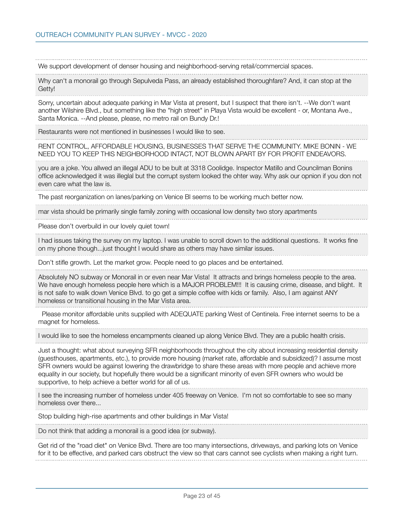We support development of denser housing and neighborhood-serving retail/commercial spaces.

Why can't a monorail go through Sepulveda Pass, an already established thoroughfare? And, it can stop at the Getty!

Sorry, uncertain about adequate parking in Mar Vista at present, but I suspect that there isn't. --We don't want another Wilshire Blvd., but something like the "high street" in Playa Vista would be excellent - or, Montana Ave., Santa Monica. --And please, please, no metro rail on Bundy Dr.!

Restaurants were not mentioned in businesses I would like to see.

RENT CONTROL, AFFORDABLE HOUSING, BUSINESSES THAT SERVE THE COMMUNITY. MIKE BONIN - WE NEED YOU TO KEEP THIS NEIGHBORHOOD INTACT, NOT BLOWN APART BY FOR PROFIT ENDEAVORS.

you are a joke. You allwed an illegal ADU to be bult at 3318 Coolidge. Inspector Matillo and Councilman Bonins office acknowledged it was illeglal but the corrupt system looked the ohter way. Why ask our opnion if you don not even care what the law is.

The past reorganization on lanes/parking on Venice Bl seems to be working much better now.

mar vista should be primarily single family zoning with occasional low density two story apartments

Please don't overbuild in our lovely quiet town!

I had issues taking the survey on my laptop. I was unable to scroll down to the additional questions. It works fine on my phone though...just thought I would share as others may have similar issues.

Don't stifle growth. Let the market grow. People need to go places and be entertained.

Absolutely NO subway or Monorail in or even near Mar Vista! It attracts and brings homeless people to the area. We have enough homeless people here which is a MAJOR PROBLEM!!! It is causing crime, disease, and blight. It is not safe to walk down Venice Blvd. to go get a simple coffee with kids or family. Also, I am against ANY homeless or transitional housing in the Mar Vista area.

 Please monitor affordable units supplied with ADEQUATE parking West of Centinela. Free internet seems to be a magnet for homeless.

I would like to see the homeless encampments cleaned up along Venice Blvd. They are a public health crisis.

Just a thought: what about surveying SFR neighborhoods throughout the city about increasing residential density (guesthouses, apartments, etc.), to provide more housing (market rate, affordable and subsidized)? I assume most SFR owners would be against lowering the drawbridge to share these areas with more people and achieve more equality in our society, but hopefully there would be a significant minority of even SFR owners who would be supportive, to help achieve a better world for all of us.

I see the increasing number of homeless under 405 freeway on Venice. I'm not so comfortable to see so many homeless over there...

Stop building high-rise apartments and other buildings in Mar Vista!

Do not think that adding a monorail is a good idea (or subway).

Get rid of the "road diet" on Venice Blvd. There are too many intersections, driveways, and parking lots on Venice for it to be effective, and parked cars obstruct the view so that cars cannot see cyclists when making a right turn.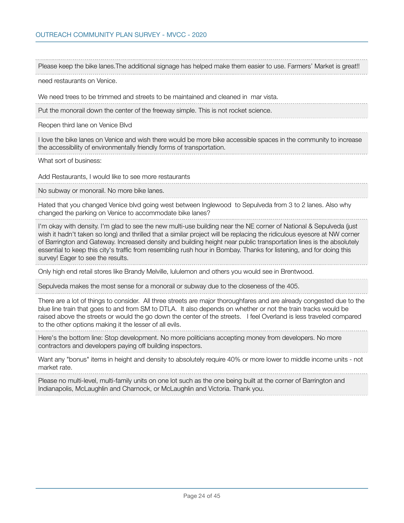need restaurants on Venice. We need trees to be trimmed and streets to be maintained and cleaned in mar vista. Put the monorail down the center of the freeway simple. This is not rocket science. Reopen third lane on Venice Blvd I love the bike lanes on Venice and wish there would be more bike accessible spaces in the community to increase the accessibility of environmentally friendly forms of transportation. What sort of business: Add Restaurants, I would like to see more restaurants No subway or monorail. No more bike lanes. Hated that you changed Venice blvd going west between Inglewood to Sepulveda from 3 to 2 lanes. Also why changed the parking on Venice to accommodate bike lanes? I'm okay with density. I'm glad to see the new multi-use building near the NE corner of National & Sepulveda (just wish it hadn't taken so long) and thrilled that a similar project will be replacing the ridiculous eyesore at NW corner of Barrington and Gateway. Increased density and building height near public transportation lines is the absolutely essential to keep this city's traffic from resembling rush hour in Bombay. Thanks for listening, and for doing this survey! Eager to see the results. Only high end retail stores like Brandy Melville, lululemon and others you would see in Brentwood. Sepulveda makes the most sense for a monorail or subway due to the closeness of the 405. There are a lot of things to consider. All three streets are major thoroughfares and are already congested due to the blue line train that goes to and from SM to DTLA. It also depends on whether or not the train tracks would be raised above the streets or would the go down the center of the streets. I feel Overland is less traveled compared to the other options making it the lesser of all evils. Here's the bottom line: Stop development. No more politicians accepting money from developers. No more contractors and developers paying off building inspectors. Want any "bonus" items in height and density to absolutely require 40% or more lower to middle income units - not market rate. Please no multi-level, multi-family units on one lot such as the one being built at the corner of Barrington and Indianapolis, McLaughlin and Charnock, or McLaughlin and Victoria. Thank you.

Please keep the bike lanes.The additional signage has helped make them easier to use. Farmers' Market is great!!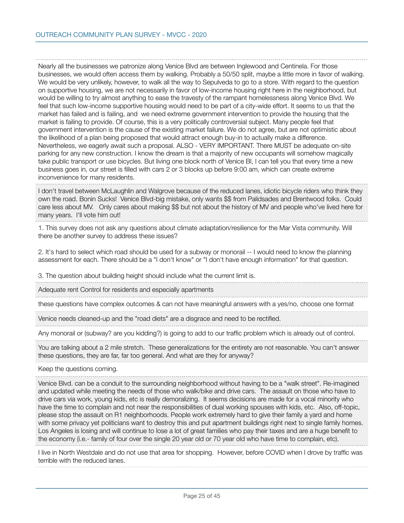Nearly all the businesses we patronize along Venice Blvd are between Inglewood and Centinela. For those businesses, we would often access them by walking. Probably a 50/50 split, maybe a little more in favor of walking. We would be very unlikely, however, to walk all the way to Sepulveda to go to a store. With regard to the question on supportive housing, we are not necessarily in favor of low-income housing right here in the neighborhood, but would be willing to try almost anything to ease the travesty of the rampant homelessness along Venice Blvd. We feel that such low-income supportive housing would need to be part of a city-wide effort. It seems to us that the market has failed and is failing, and we need extreme government intervention to provide the housing that the market is failing to provide. Of course, this is a very politically controversial subject. Many people feel that government intervention is the cause of the existing market failure. We do not agree, but are not optimistic about the likelihood of a plan being proposed that would attract enough buy-in to actually make a difference. Nevertheless, we eagerly await such a proposal. ALSO - VERY IMPORTANT. There MUST be adequate on-site parking for any new construction. I know the dream is that a majority of new occupants will somehow magically take public transport or use bicycles. But living one block north of Venice Bl, I can tell you that every time a new business goes in, our street is filled with cars 2 or 3 blocks up before 9:00 am, which can create extreme inconvenience for many residents.

I don't travel between McLaughlin and Walgrove because of the reduced lanes, idiotic bicycle riders who think they own the road. Bonin Sucks! Venice Blvd-big mistake, only wants \$\$ from Palidsades and Brentwood folks. Could care less about MV. Only cares about making \$\$ but not about the history of MV and people who've lived here for many years. I'll vote him out!

1. This survey does not ask any questions about climate adaptation/resilience for the Mar Vista community. Will there be another survey to address these issues?

2. It's hard to select which road should be used for a subway or monorail -- I would need to know the planning assessment for each. There should be a "I don't know" or "I don't have enough information" for that question.

3. The question about building height should include what the current limit is.

Adequate rent Control for residents and especially apartments

these questions have complex outcomes & can not have meaningful answers with a yes/no, choose one format

Venice needs cleaned-up and the "road diets" are a disgrace and need to be rectified.

Any monorail or (subway? are you kidding?) is going to add to our traffic problem which is already out of control.

You are talking about a 2 mile stretch. These generalizations for the entirety are not reasonable. You can't answer these questions, they are far, far too general. And what are they for anyway?

Keep the questions coming.

Venice Blvd. can be a conduit to the surrounding neighborhood without having to be a "walk street". Re-imagined and updated while meeting the needs of those who walk/bike and drive cars. The assault on those who have to drive cars via work, young kids, etc is really demoralizing. It seems decisions are made for a vocal minority who have the time to complain and not near the responsibilities of dual working spouses with kids, etc. Also, off-topic, please stop the assault on R1 neighborhoods. People work extremely hard to give their family a yard and home with some privacy yet politicians want to destroy this and put apartment buildings right next to single family homes. Los Angeles is losing and will continue to lose a lot of great families who pay their taxes and are a huge benefit to the economy (i.e.- family of four over the single 20 year old or 70 year old who have time to complain, etc).

I live in North Westdale and do not use that area for shopping. However, before COVID when I drove by traffic was terrible with the reduced lanes.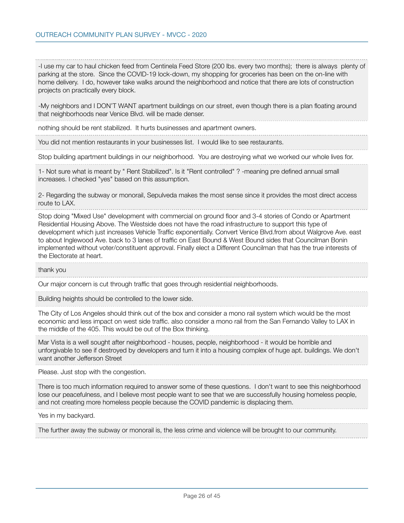-I use my car to haul chicken feed from Centinela Feed Store (200 lbs. every two months); there is always plenty of parking at the store. Since the COVID-19 lock-down, my shopping for groceries has been on the on-line with home delivery. I do, however take walks around the neighborhood and notice that there are lots of construction projects on practically every block.

-My neighbors and I DON'T WANT apartment buildings on our street, even though there is a plan floating around that neighborhoods near Venice Blvd. will be made denser.

nothing should be rent stabilized. It hurts businesses and apartment owners.

You did not mention restaurants in your businesses list. I would like to see restaurants.

Stop building apartment buildings in our neighborhood. You are destroying what we worked our whole lives for.

1- Not sure what is meant by " Rent Stabilized". Is it "Rent controlled" ? -meaning pre defined annual small increases. I checked "yes" based on this assumption.

2- Regarding the subway or monorail, Sepulveda makes the most sense since it provides the most direct access route to LAX.

Stop doing "Mixed Use" development with commercial on ground floor and 3-4 stories of Condo or Apartment Residential Housing Above. The Westside does not have the road infrastructure to support this type of development which just increases Vehicle Traffic exponentially. Convert Venice Blvd.from about Walgrove Ave. east to about Inglewood Ave. back to 3 lanes of traffic on East Bound & West Bound sides that Councilman Bonin implemented without voter/constituent approval. Finally elect a Different Councilman that has the true interests of the Electorate at heart.

## thank you

Our major concern is cut through traffic that goes through residential neighborhoods.

Building heights should be controlled to the lower side.

The City of Los Angeles should think out of the box and consider a mono rail system which would be the most economic and less impact on west side traffic. also consider a mono rail from the San Fernando Valley to LAX in the middle of the 405. This would be out of the Box thinking.

Mar Vista is a well sought after neighborhood - houses, people, neighborhood - it would be horrible and unforgivable to see if destroyed by developers and turn it into a housing complex of huge apt. buildings. We don't want another Jefferson Street

Please. Just stop with the congestion.

There is too much information required to answer some of these questions. I don't want to see this neighborhood lose our peacefulness, and I believe most people want to see that we are successfully housing homeless people, and not creating more homeless people because the COVID pandemic is displacing them.

Yes in my backyard.

The further away the subway or monorail is, the less crime and violence will be brought to our community.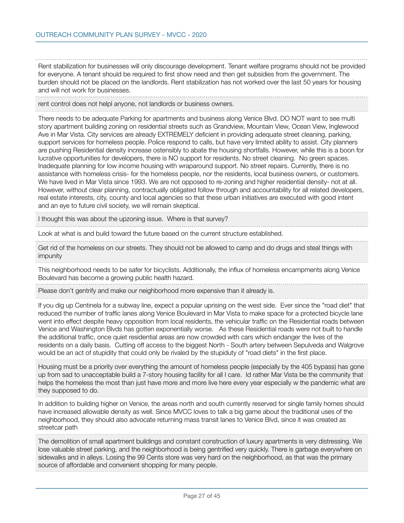Rent stabilization for businesses will only discourage development. Tenant welfare programs should not be provided for everyone. A tenant should be required to first show need and then get subsidies from the government. The burden should not be placed on the landlords. Rent stabilization has not worked over the last 50 years for housing and will not work for businesses.

rent control does not helpl anyone, not landlords or business owners.

There needs to be adequate Parking for apartments and business along Venice Blvd. DO NOT want to see multi story apartment building zoning on residential streets such as Grandview, Mountain View, Ocean View, Inglewood Ave in Mar Vista. City services are already EXTREMELY deficient in providing adequate street cleaning, parking, support services for homeless people. Police respond to calls, but have very limited ability to assist. City planners are pushing Residential density increase ostensibly to abate the housing shortfalls. However, while this is a boon for lucrative opportunities for developers, there is NO support for residents. No street cleaning. No green spaces. Inadequate planning for low income housing with wraparound support. No street repairs. Currently, there is no assistance with homeless crisis- for the homeless people, nor the residents, local business owners, or customers. We have lived in Mar Vista since 1993. We are not opposed to re-zoning and higher residential density- not at all. However, without clear planning, contractually obligated follow through and accountability for all related developers, real estate interests, city, county and local agencies so that these urban initiatives are executed with good intent and an eye to future civil society, we will remain skeptical.

I thought this was about the upzoning issue. Where is that survey?

Look at what is and build toward the future based on the current structure established.

Get rid of the homeless on our streets. They should not be allowed to camp and do drugs and steal things with impunity

This neighborhood needs to be safer for bicyclists. Additionally, the influx of homeless encampments along Venice Boulevard has become a growing public health hazard.

Please don't gentrify and make our neighborhood more expensive than it already is.

If you dig up Centinela for a subway line, expect a popular uprising on the west side. Ever since the "road diet" that reduced the number of traffic lanes along Venice Boulevard in Mar Vista to make space for a protected bicycle lane went into effect despite heavy opposition from local residents, the vehicular traffic on the Residential roads between Venice and Washington Blvds has gotten exponentially worse. As these Residential roads were not built to handle the additional traffic, once quiet residential areas are now crowded with cars which endanger the lives of the residents on a daily basis. Cutting off access to the biggest North - South artery between Sepulveda and Walgrove would be an act of stupidity that could only be rivaled by the stupiduty of "road diets" in the first place.

Housing must be a priority over everything the amount of homeless people (especially by the 405 bypass) has gone up from sad to unacceptable build a 7-story housing facility for all I care. Id rather Mar Vista be the community that helps the homeless the most than just have more and more live here every year especially w the pandemic what are they supposed to do.

In addition to building higher on Venice, the areas north and south currently reserved for single family homes should have increased allowable density as well. Since MVCC loves to talk a big game about the traditional uses of the neighborhood, they should also advocate returning mass transit lanes to Venice Blvd, since it was created as streetcar path

The demolition of small apartment buildings and constant construction of luxury apartments is very distressing. We lose valuable street parking, and the neighborhood is being gentrified very quickly. There is garbage everywhere on sidewalks and in alleys. Losing the 99 Cents store was very hard on the neighborhood, as that was the primary source of affordable and convenient shopping for many people.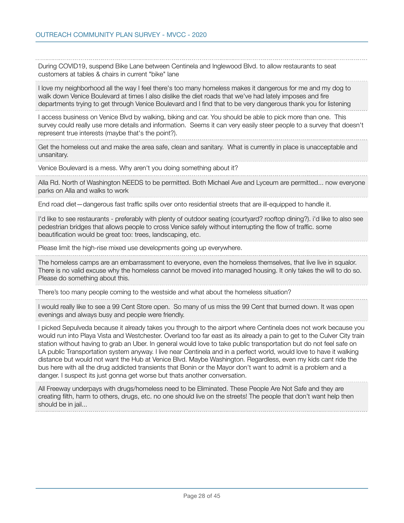During COVID19, suspend Bike Lane between Centinela and Inglewood Blvd. to allow restaurants to seat customers at tables & chairs in current "bike" lane

I love my neighborhood all the way I feel there's too many homeless makes it dangerous for me and my dog to walk down Venice Boulevard at times I also dislike the diet roads that we've had lately imposes and fire departments trying to get through Venice Boulevard and I find that to be very dangerous thank you for listening

I access business on Venice Blvd by walking, biking and car. You should be able to pick more than one. This survey could really use more details and information. Seems it can very easily steer people to a survey that doesn't represent true interests (maybe that's the point?).

Get the homeless out and make the area safe, clean and sanitary. What is currently in place is unacceptable and unsanitary.

Venice Boulevard is a mess. Why aren't you doing something about it?

Alla Rd. North of Washington NEEDS to be permitted. Both Michael Ave and Lyceum are permitted... now everyone parks on Alla and walks to work

End road diet—dangerous fast traffic spills over onto residential streets that are ill-equipped to handle it.

I'd like to see restaurants - preferably with plenty of outdoor seating (courtyard? rooftop dining?). i'd like to also see pedestrian bridges that allows people to cross Venice safely without interrupting the flow of traffic. some beautification would be great too: trees, landscaping, etc.

Please limit the high-rise mixed use developments going up everywhere.

The homeless camps are an embarrassment to everyone, even the homeless themselves, that live live in squalor. There is no valid excuse why the homeless cannot be moved into managed housing. It only takes the will to do so. Please do something about this.

There's too many people coming to the westside and what about the homeless situation?

I would really like to see a 99 Cent Store open. So many of us miss the 99 Cent that burned down. It was open evenings and always busy and people were friendly.

I picked Sepulveda because it already takes you through to the airport where Centinela does not work because you would run into Playa Vista and Westchester. Overland too far east as its already a pain to get to the Culver City train station without having to grab an Uber. In general would love to take public transportation but do not feel safe on LA public Transportation system anyway. I live near Centinela and in a perfect world, would love to have it walking distance but would not want the Hub at Venice Blvd. Maybe Washington. Regardless, even my kids cant ride the bus here with all the drug addicted transients that Bonin or the Mayor don't want to admit is a problem and a danger. I suspect its just gonna get worse but thats another conversation.

All Freeway underpays with drugs/homeless need to be Eliminated. These People Are Not Safe and they are creating filth, harm to others, drugs, etc. no one should live on the streets! The people that don't want help then should be in jail...